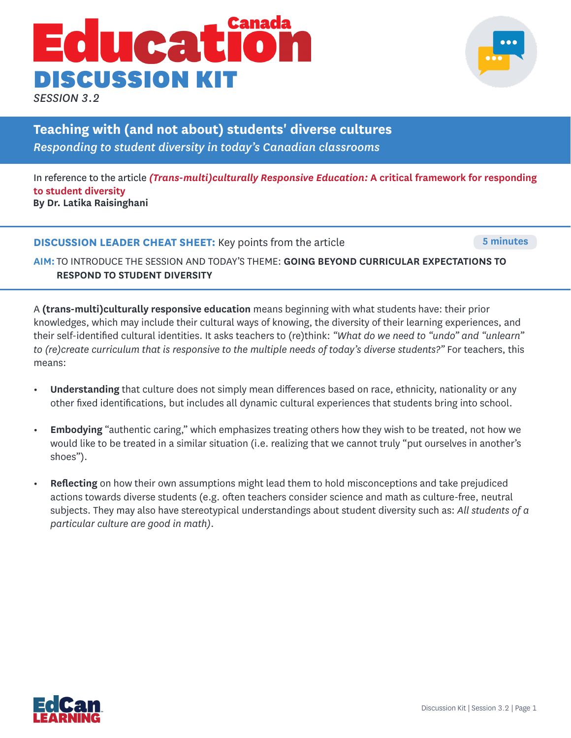# UCAL DISCUSSION KIT

*SESSION 3.2*

**Teaching with (and not about) students' diverse cultures**  *Responding to student diversity in today's Canadian classrooms* 

In reference to the article *(Trans-multi)culturally Responsive Education:* **A critical framework for responding to student diversity By Dr. Latika Raisinghani**

**DISCUSSION LEADER CHEAT SHEET:** Key points from the article **5 minutes** 5 minutes

**AIM:** TO INTRODUCE THE SESSION AND TODAY'S THEME: **GOING BEYOND CURRICULAR EXPECTATIONS TO RESPOND TO STUDENT DIVERSITY** 

A **(trans-multi)culturally responsive education** means beginning with what students have: their prior knowledges, which may include their cultural ways of knowing, the diversity of their learning experiences, and their self-identified cultural identities. It asks teachers to (re)think: *"What do we need to "undo" and "unlearn" to (re)create curriculum that is responsive to the multiple needs of today's diverse students?"* For teachers, this means:

- **• Understanding** that culture does not simply mean differences based on race, ethnicity, nationality or any other fixed identifications, but includes all dynamic cultural experiences that students bring into school.
- **• Embodying** "authentic caring," which emphasizes treating others how they wish to be treated, not how we would like to be treated in a similar situation (i.e. realizing that we cannot truly "put ourselves in another's shoes").
- **• Reflecting** on how their own assumptions might lead them to hold misconceptions and take prejudiced actions towards diverse students (e.g. often teachers consider science and math as culture-free, neutral subjects. They may also have stereotypical understandings about student diversity such as: *All students of a particular culture are good in math)*.